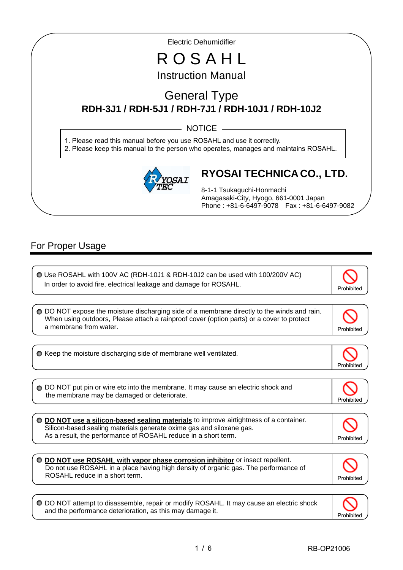Electric Dehumidifier

# R O S A H L Instruction Manual

# General Type **RDH-3J1 / RDH-5J1 / RDH-7J1 / RDH-10J1 / RDH-10J2**

 $-$  NOTICE  $-$ 

1. Please read this manual before you use ROSAHL and use it correctly. 2. Please keep this manual to the person who operates, manages and maintains ROSAHL.



# **RYOSAI TECHNICA CO., LTD.**

8-1-1 Tsukaguchi-Honmachi Amagasaki-City, Hyogo, 661-0001 Japan Phone : +81-6-6497-9078 Fax : +81-6-6497-9082

## For Proper Usage

I

I

ľ

 $\overline{a}$ 

 Use ROSAHL with 100V AC (RDH-10J1 & RDH-10J2 can be used with 100/200V AC) In order to avoid fire, electrical leakage and damage for ROSAHL.

O DO NOT expose the moisture discharging side of a membrane directly to the winds and rain. When using outdoors, Please attach a rainproof cover (option parts) or a cover to protect a membrane from water. The contract of the contract of the contract of the contract of the contract of the contract of the contract of the contract of the contract of the contract of the contract of the contract of the con

 $\bullet$  Keep the moisture discharging side of membrane well ventilated.

◯ DO NOT put pin or wire etc into the membrane. It may cause an electric shock and the membrane may be damaged or deteriorate.

 **DO NOT use a silicon-based sealing materials** to improve airtightness of a container. Silicon-based sealing materials generate oxime gas and siloxane gas. As a result, the performance of ROSAHL reduce in a short term.

**DO NOT use ROSAHL with vapor phase corrosion inhibitor** or insect repellent. Do not use ROSAHL in a place having high density of organic gas. The performance of ROSAHL reduce in a short term.

DO NOT attempt to disassemble, repair or modify ROSAHL. It may cause an electric shock and the performance deterioration, as this may damage it.



Prohibited

Prohibited

Prohibited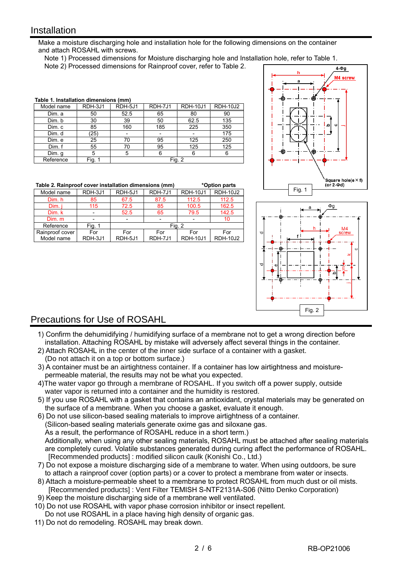#### **Installation**

I

Make a moisture discharging hole and installation hole for the following dimensions on the container and attach ROSAHL with screws.

Note 1) Processed dimensions for Moisture discharging hole and Installation hole, refer to Table 1.

Note 2) Processed dimensions for Rainproof cover, refer to Table 2.

| Table 1. Installation dimensions (mm) |         |         |         |                 |                 |  |  |
|---------------------------------------|---------|---------|---------|-----------------|-----------------|--|--|
| Model name                            | RDH-3J1 | RDH-5J1 | RDH-7J1 | <b>RDH-10J1</b> | <b>RDH-10J2</b> |  |  |
| Dim. a                                | 50      | 52.5    | 65      | 80              | 90              |  |  |
| Dim. b                                | 30      | 39      | 50      | 62.5            | 135             |  |  |
| Dim. c                                | 85      | 160     | 185     | 225             | 350             |  |  |
| Dim. d                                | (25)    |         |         |                 | 175             |  |  |
| Dim. e                                | 25      | 70      | 95      | 125             | 250             |  |  |
| Dim. f                                | 55      | 70      | 95      | 125             | 125             |  |  |
| Dim. g                                | 5       | 5       | 6       | 6               | 6               |  |  |
| Reference                             | Fig.    |         |         | Fig. 2          |                 |  |  |

|                 | Table 2. Rainproof cover installation dimensions (mm)<br>*Option parts |         |                |                 |                 |  |  |  |  |
|-----------------|------------------------------------------------------------------------|---------|----------------|-----------------|-----------------|--|--|--|--|
| Model name      | RDH-3J1                                                                | RDH-5J1 | RDH-7J1        | <b>RDH-10J1</b> | <b>RDH-10J2</b> |  |  |  |  |
| Dim. h          | 85                                                                     | 67.5    | 87.5           | 112.5           | 112.5           |  |  |  |  |
| Dim. i          | 115                                                                    | 72.5    | 85             | 100.5           | 162.5           |  |  |  |  |
| Dim. k          |                                                                        | 52.5    | 65             | 79.5            | 142.5           |  |  |  |  |
| Dim. m          |                                                                        |         |                |                 | 10              |  |  |  |  |
| Reference       | Fig. 1                                                                 | Fig. 2  |                |                 |                 |  |  |  |  |
| Rainproof cover | For                                                                    | For     | For            | For             | For             |  |  |  |  |
| Model name      | RDH-3J1                                                                | RDH-5J1 | <b>RDH-7J1</b> | <b>RDH-10J1</b> | <b>RDH-10J2</b> |  |  |  |  |





### Precautions for Use of ROSAHL

- 1) Confirm the dehumidifying / humidifying surface of a membrane not to get a wrong direction before installation. Attaching ROSAHL by mistake will adversely affect several things in the container.
- 2) Attach ROSAHL in the center of the inner side surface of a container with a gasket. (Do not attach it on a top or bottom surface.)
- 3) A container must be an airtightness container. If a container has low airtightness and moisturepermeable material, the results may not be what you expected.
- 4)The water vapor go through a membrane of ROSAHL. If you switch off a power supply, outside water vapor is returned into a container and the humidity is restored.
- 5) If you use ROSAHL with a gasket that contains an antioxidant, crystal materials may be generated on the surface of a membrane. When you choose a gasket, evaluate it enough.
- 6) Do not use silicon-based sealing materials to improve airtightness of a container. (Silicon-based sealing materials generate oxime gas and siloxane gas. As a result, the performance of ROSAHL reduce in a short term.) Additionally, when using any other sealing materials, ROSAHL must be attached after sealing materials are completely cured. Volatile substances generated during curing affect the performance of ROSAHL. [Recommended products] : modified silicon caulk (Konishi Co., Ltd.)
- 7) Do not expose a moisture discharging side of a membrane to water. When using outdoors, be sure to attach a rainproof cover (option parts) or a cover to protect a membrane from water or insects.
- 8) Attach a moisture-permeable sheet to a membrane to protect ROSAHL from much dust or oil mists. [Recommended products] : Vent Filter TEMISH S-NTF2131A-S06 (Nitto Denko Corporation)
- 9) Keep the moisture discharging side of a membrane well ventilated.
- 10) Do not use ROSAHL with vapor phase corrosion inhibitor or insect repellent.
- Do not use ROSAHL in a place having high density of organic gas.
- 11) Do not do remodeling. ROSAHL may break down.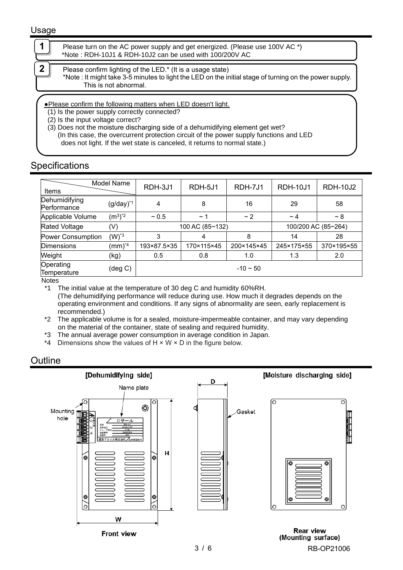#### Usage

| Please turn on the AC power supply and get energized. (Please use 100V AC *)<br>*Note: RDH-10J1 & RDH-10J2 can be used with 100/200V AC                                                       |
|-----------------------------------------------------------------------------------------------------------------------------------------------------------------------------------------------|
|                                                                                                                                                                                               |
| Please confirm lighting of the LED.* (It is a usage state)<br>*Note: It might take 3-5 minutes to light the LED on the initial stage of turning on the power supply.<br>This is not abnormal. |
|                                                                                                                                                                                               |
|                                                                                                                                                                                               |
| • Please confirm the following matters when LED doesn't light.<br>(1) Is the power supply correctly connected?<br>(2) Is the input voltage correct?                                           |

### **Specifications**

| Model Name                   |                        | RDH-3J1         | RDH-5J1    | RDH-7J1    | <b>RDH-10J1</b>     | <b>RDH-10J2</b> |
|------------------------------|------------------------|-----------------|------------|------------|---------------------|-----------------|
| Items                        |                        |                 |            |            |                     |                 |
| Dehumidifying<br>Performance | $(g/day)^*1$           | 4               | 8          | 16         | 29                  | 58              |
| Applicable Volume            | $(m^3)^*$ <sup>2</sup> | $~1$ 0.5        | $\sim$ 1   | ~2         | $\sim$ 4            | $~\sim 8$       |
| <b>Rated Voltage</b>         | (V)                    | 100 AC (85~132) |            |            | 100/200 AC (85~264) |                 |
| Power Consumption            | $(W)^*$ <sup>3</sup>   | 3               | 4          | 8          | 14                  | 28              |
| <b>Dimensions</b>            | $(mm)^{*4}$            | 193×87.5×35     | 170×115×45 | 200×145×45 | 245×175×55          | 370×195×55      |
| Weight                       | (kg)                   | 0.5             | 0.8        | 1.0        | 1.3                 | 2.0             |
| Operating<br>Temperature     | (deg C)                | $-10 - 50$      |            |            |                     |                 |

Notes

\*1 The initial value at the temperature of 30 deg C and humidity 60%RH. (The dehumidifying performance will reduce during use. How much it degrades depends on the operating environment and conditions. If any signs of abnormality are seen, early replacement is recommended.)

\*2 The applicable volume is for a sealed, moisture-impermeable container, and may vary depending on the material of the container, state of sealing and required humidity.

\*3 The annual average power consumption in average condition in Japan.

\*4 Dimensions show the values of  $H \times W \times D$  in the figure below.

### **Outline**

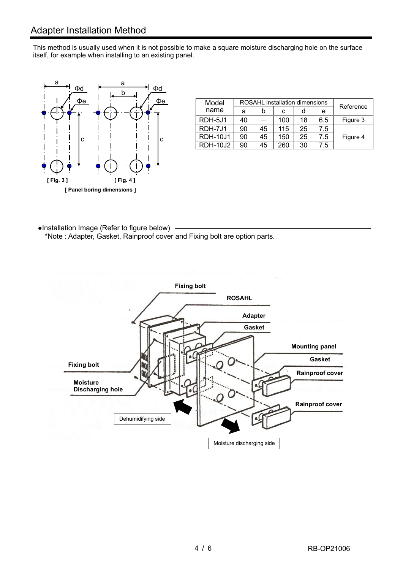This method is usually used when it is not possible to make a square moisture discharging hole on the surface itself, for example when installing to an existing panel.



| <u>Фе</u> | Model           | ROSAHL installation dimensions |    |     |    |     |           |
|-----------|-----------------|--------------------------------|----|-----|----|-----|-----------|
|           | name            | a                              |    | С   |    | е   | Reference |
|           | RDH-5J1         | 40                             |    | 100 | 18 | 6.5 | Figure 3  |
|           | RDH-7J1         | 90                             | 45 | 115 | 25 | 7.5 |           |
|           | <b>RDH-10J1</b> | 90                             | 45 | 150 | 25 | 7.5 | Figure 4  |
|           | <b>RDH-10J2</b> | 90                             | 45 | 260 | 30 | 7.5 |           |

●Installation Image (Refer to figure below) \*Note : Adapter, Gasket, Rainproof cover and Fixing bolt are option parts.

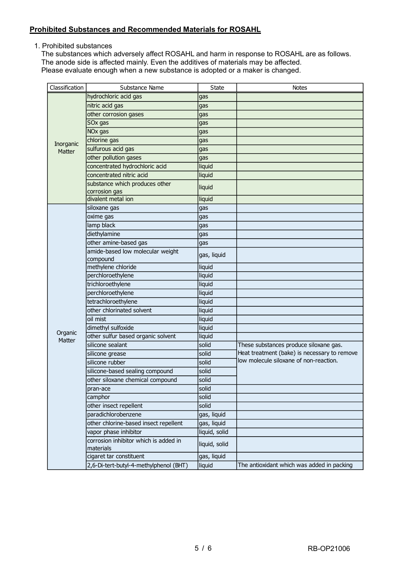#### **Prohibited Substances and Recommended Materials for ROSAHL**

1. Prohibited substances

The substances which adversely affect ROSAHL and harm in response to ROSAHL are as follows. The anode side is affected mainly. Even the additives of materials may be affected. Please evaluate enough when a new substance is adopted or a maker is changed.

| Classification | Substance Name                                     | <b>State</b>  | <b>Notes</b>                                                                           |
|----------------|----------------------------------------------------|---------------|----------------------------------------------------------------------------------------|
| Inorganic      | hydrochloric acid gas                              | gas           |                                                                                        |
|                | nitric acid gas                                    | gas           |                                                                                        |
|                | other corrosion gases                              | gas           |                                                                                        |
|                | SOx gas                                            | gas           |                                                                                        |
|                | NO <sub>x</sub> gas                                | gas           |                                                                                        |
|                | chlorine gas                                       | gas           |                                                                                        |
| Matter         | sulfurous acid gas                                 | gas           |                                                                                        |
|                | other pollution gases                              | gas           |                                                                                        |
|                | concentrated hydrochloric acid                     | liquid        |                                                                                        |
|                | concentrated nitric acid                           | liquid        |                                                                                        |
|                | substance which produces other                     | liquid        |                                                                                        |
|                | corrosion gas                                      |               |                                                                                        |
|                | divalent metal ion                                 | liquid        |                                                                                        |
|                | siloxane gas                                       | gas           |                                                                                        |
|                | oxime gas                                          | gas           |                                                                                        |
|                | lamp black                                         | gas           |                                                                                        |
|                | diethylamine                                       | gas           |                                                                                        |
|                | other amine-based gas                              | gas           |                                                                                        |
|                | amide-based low molecular weight                   | gas, liquid   |                                                                                        |
|                | compound                                           |               |                                                                                        |
|                | methylene chloride                                 | liquid        |                                                                                        |
|                | perchloroethylene                                  | liquid        |                                                                                        |
|                | trichloroethylene                                  | liquid        |                                                                                        |
|                | perchloroethylene                                  | liquid        |                                                                                        |
|                | tetrachloroethylene<br>other chlorinated solvent   | liquid        |                                                                                        |
|                |                                                    | liquid        |                                                                                        |
|                | oil mist                                           | liquid        |                                                                                        |
| Organic        | dimethyl sulfoxide                                 | liquid        |                                                                                        |
| Matter         | other sulfur based organic solvent                 | liquid        |                                                                                        |
|                | silicone sealant                                   | solid         | These substances produce siloxane gas.<br>Heat treatment (bake) is necessary to remove |
|                | silicone grease                                    | solid         | low molecule siloxane of non-reaction.                                                 |
|                | silicone rubber                                    | solid         |                                                                                        |
|                | silicone-based sealing compound                    | solid         |                                                                                        |
|                | other siloxane chemical compound                   | solid         |                                                                                        |
|                | pran-ace                                           | solid         |                                                                                        |
|                | camphor                                            | solid         |                                                                                        |
|                | other insect repellent                             | solid         |                                                                                        |
|                | paradichlorobenzene                                | gas, liquid   |                                                                                        |
|                | other chlorine-based insect repellent              | gas, liquid   |                                                                                        |
|                | vapor phase inhibitor                              | liquid, solid |                                                                                        |
|                | corrosion inhibitor which is added in<br>materials | liquid, solid |                                                                                        |
|                | cigaret tar constituent                            | gas, liquid   |                                                                                        |
|                | 2,6-Di-tert-butyl-4-methylphenol (BHT)             | liquid        | The antioxidant which was added in packing                                             |